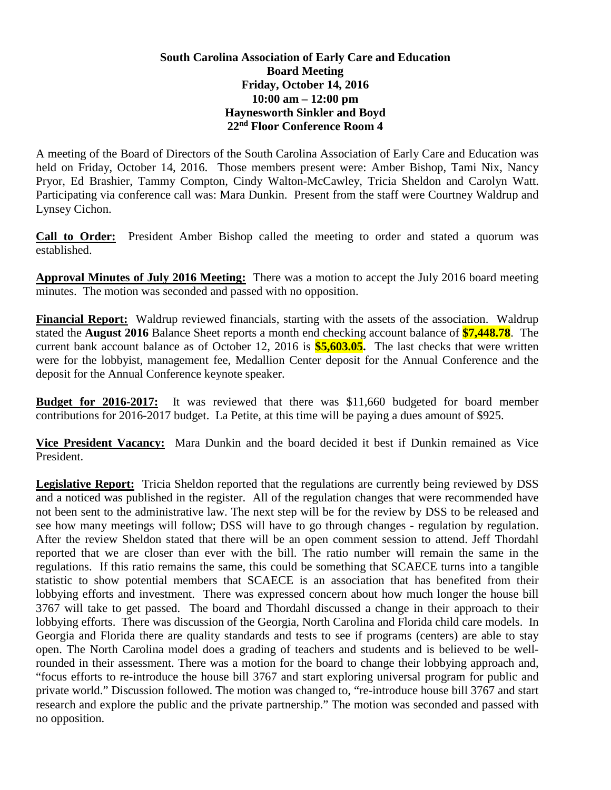## **South Carolina Association of Early Care and Education Board Meeting Friday, October 14, 2016 10:00 am – 12:00 pm Haynesworth Sinkler and Boyd 22nd Floor Conference Room 4**

A meeting of the Board of Directors of the South Carolina Association of Early Care and Education was held on Friday, October 14, 2016. Those members present were: Amber Bishop, Tami Nix, Nancy Pryor, Ed Brashier, Tammy Compton, Cindy Walton-McCawley, Tricia Sheldon and Carolyn Watt. Participating via conference call was: Mara Dunkin. Present from the staff were Courtney Waldrup and Lynsey Cichon.

**Call to Order:** President Amber Bishop called the meeting to order and stated a quorum was established.

**Approval Minutes of July 2016 Meeting:** There was a motion to accept the July 2016 board meeting minutes. The motion was seconded and passed with no opposition.

**Financial Report:** Waldrup reviewed financials, starting with the assets of the association. Waldrup stated the **August 2016** Balance Sheet reports a month end checking account balance of **\$7,448.78**. The current bank account balance as of October 12, 2016 is **\$5,603.05.** The last checks that were written were for the lobbyist, management fee, Medallion Center deposit for the Annual Conference and the deposit for the Annual Conference keynote speaker.

**Budget for 2016-2017:** It was reviewed that there was \$11,660 budgeted for board member contributions for 2016-2017 budget. La Petite, at this time will be paying a dues amount of \$925.

**Vice President Vacancy:** Mara Dunkin and the board decided it best if Dunkin remained as Vice President.

**Legislative Report:** Tricia Sheldon reported that the regulations are currently being reviewed by DSS and a noticed was published in the register. All of the regulation changes that were recommended have not been sent to the administrative law. The next step will be for the review by DSS to be released and see how many meetings will follow; DSS will have to go through changes - regulation by regulation. After the review Sheldon stated that there will be an open comment session to attend. Jeff Thordahl reported that we are closer than ever with the bill. The ratio number will remain the same in the regulations. If this ratio remains the same, this could be something that SCAECE turns into a tangible statistic to show potential members that SCAECE is an association that has benefited from their lobbying efforts and investment. There was expressed concern about how much longer the house bill 3767 will take to get passed. The board and Thordahl discussed a change in their approach to their lobbying efforts. There was discussion of the Georgia, North Carolina and Florida child care models. In Georgia and Florida there are quality standards and tests to see if programs (centers) are able to stay open. The North Carolina model does a grading of teachers and students and is believed to be wellrounded in their assessment. There was a motion for the board to change their lobbying approach and, "focus efforts to re-introduce the house bill 3767 and start exploring universal program for public and private world." Discussion followed. The motion was changed to, "re-introduce house bill 3767 and start research and explore the public and the private partnership." The motion was seconded and passed with no opposition.